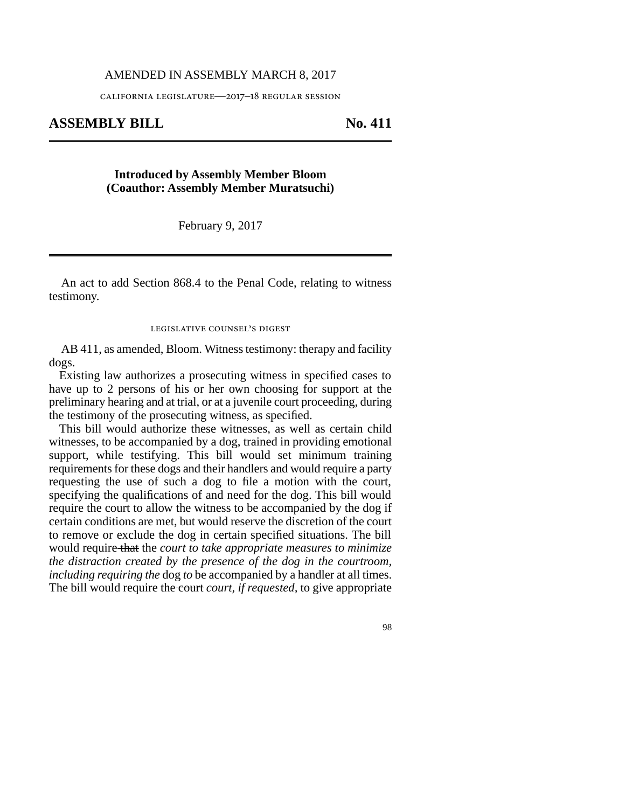### AMENDED IN ASSEMBLY MARCH 8, 2017

california legislature—2017–18 regular session

# **ASSEMBLY BILL No. 411**

# **Introduced by Assembly Member Bloom (Coauthor: Assembly Member Muratsuchi)**

February 9, 2017

An act to add Section 868.4 to the Penal Code, relating to witness testimony.

#### legislative counsel's digest

AB 411, as amended, Bloom. Witness testimony: therapy and facility dogs.

Existing law authorizes a prosecuting witness in specified cases to have up to 2 persons of his or her own choosing for support at the preliminary hearing and at trial, or at a juvenile court proceeding, during the testimony of the prosecuting witness, as specified.

This bill would authorize these witnesses, as well as certain child witnesses, to be accompanied by a dog, trained in providing emotional support, while testifying. This bill would set minimum training requirements for these dogs and their handlers and would require a party requesting the use of such a dog to file a motion with the court, specifying the qualifications of and need for the dog. This bill would require the court to allow the witness to be accompanied by the dog if certain conditions are met, but would reserve the discretion of the court to remove or exclude the dog in certain specified situations. The bill would require that the *court to take appropriate measures to minimize the distraction created by the presence of the dog in the courtroom, including requiring the* dog *to* be accompanied by a handler at all times. The bill would require the court *court, if requested,* to give appropriate

98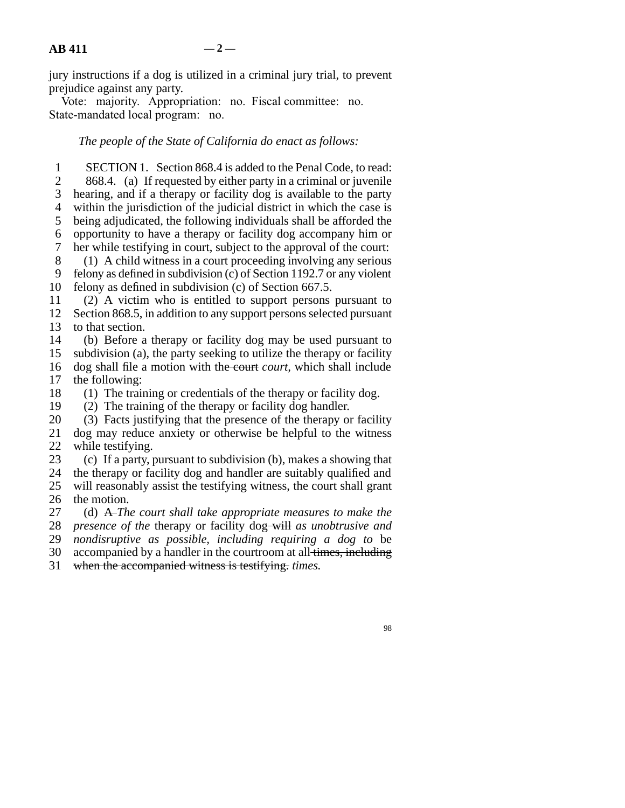jury instructions if a dog is utilized in a criminal jury trial, to prevent prejudice against any party.

Vote: majority. Appropriation: no. Fiscal committee: no. State-mandated local program: no.

## *The people of the State of California do enact as follows:*

1 SECTION 1. Section 868.4 is added to the Penal Code, to read: 2 868.4. (a) If requested by either party in a criminal or juvenile 3 hearing, and if a therapy or facility dog is available to the party 4 within the jurisdiction of the judicial district in which the case is 5 being adjudicated, the following individuals shall be afforded the 6 opportunity to have a therapy or facility dog accompany him or 7 her while testifying in court, subject to the approval of the court: her while testifying in court, subject to the approval of the court: 8 (1) A child witness in a court proceeding involving any serious 9 felony as defined in subdivision (c) of Section 1192.7 or any violent 10 felony as defined in subdivision (c) of Section  $667.5$ . 11 (2) A victim who is entitled to support persons pursuant to 12 Section 868.5, in addition to any support persons selected pursuant 13 to that section. 14 (b) Before a therapy or facility dog may be used pursuant to 15 subdivision (a), the party seeking to utilize the therapy or facility 16 dog shall file a motion with the court *court*, which shall include 17 the following: 18  $\hspace{1.6cm}$  (1) The training or credentials of the therapy or facility dog. 19 (2) The training of the therapy or facility dog handler. 20 (3) Facts justifying that the presence of the therapy or facility

21 dog may reduce anxiety or otherwise be helpful to the witness 22 while testifying.

23 (c) If a party, pursuant to subdivision (b), makes a showing that 24 the therapy or facility dog and handler are suitably qualified and 25 will reasonably assist the testifying witness, the court shall grant 26 the motion.

27 (d) A *The court shall take appropriate measures to make the* 28 *presence of the therapy or facility dog-will as unobtrusive and*  line 29 *nondisruptive as possible, including requiring a dog to* be 30 accompanied by a handler in the courtroom at all times, including

31 when the accompanied witness is testifying. *times.* 

98